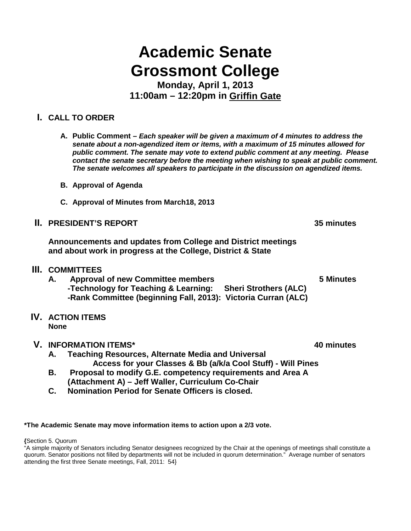# **Academic Senate Grossmont College**

**Monday, April 1, 2013 11:00am – 12:20pm in Griffin Gate**

# **I. CALL TO ORDER**

- **A. Public Comment –** *Each speaker will be given a maximum of 4 minutes to address the senate about a non-agendized item or items, with a maximum of 15 minutes allowed for public comment. The senate may vote to extend public comment at any meeting. Please contact the senate secretary before the meeting when wishing to speak at public comment. The senate welcomes all speakers to participate in the discussion on agendized items.*
- **B. Approval of Agenda**
- **C. Approval of Minutes from March18, 2013**
- **II. PRESIDENT'S REPORT 35 minutes**

**Announcements and updates from College and District meetings and about work in progress at the College, District & State**

- **III. COMMITTEES**
	- **A. Approval of new Committee members 5 Minutes -Technology for Teaching & Learning: Sheri Strothers (ALC) -Rank Committee (beginning Fall, 2013): Victoria Curran (ALC)**
- **IV. ACTION ITEMS None**

#### **V. INFORMATION ITEMS\* 40 minutes**

- **A. Teaching Resources, Alternate Media and Universal Access for your Classes & Bb (a/k/a Cool Stuff) - Will Pines**
- **B. Proposal to modify G.E. competency requirements and Area A (Attachment A) – Jeff Waller, Curriculum Co-Chair**
- **C. Nomination Period for Senate Officers is closed.**

#### **\*The Academic Senate may move information items to action upon a 2/3 vote.**

**{**Section 5. Quorum

"A simple majority of Senators including Senator designees recognized by the Chair at the openings of meetings shall constitute a quorum. Senator positions not filled by departments will not be included in quorum determination." Average number of senators attending the first three Senate meetings, Fall, 2011: 54}